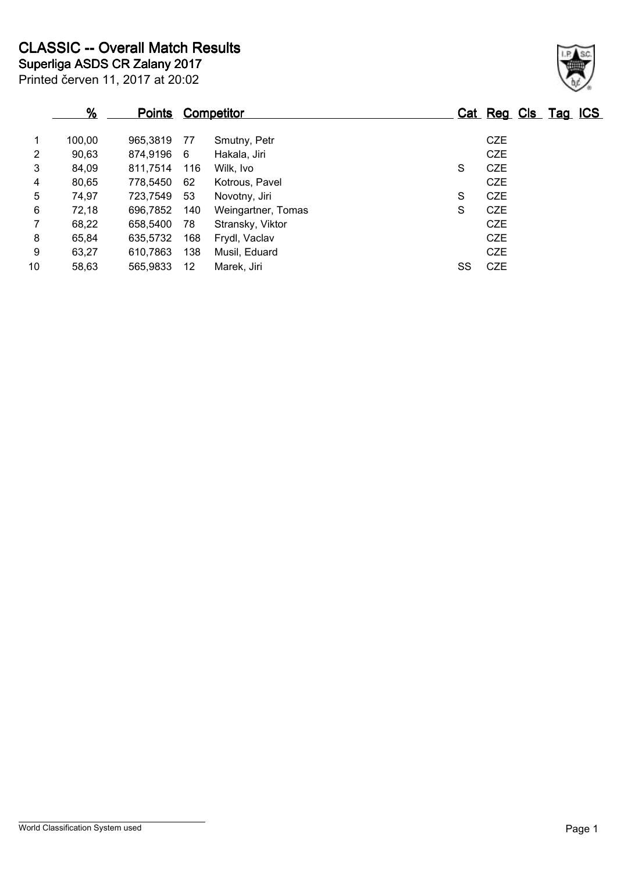|                | $\frac{9}{6}$ | <u>Points</u> |     | <b>Competitor</b>  |    | Cat Reg Cls Tag ICS |  |
|----------------|---------------|---------------|-----|--------------------|----|---------------------|--|
| 1              | 100,00        | 965,3819      | 77  | Smutny, Petr       |    | <b>CZE</b>          |  |
| $\overline{2}$ | 90,63         | 874,9196      | - 6 | Hakala, Jiri       |    | <b>CZE</b>          |  |
| 3              | 84,09         | 811,7514      | 116 | Wilk, Ivo          | S  | <b>CZE</b>          |  |
| 4              | 80,65         | 778,5450      | 62  | Kotrous, Pavel     |    | <b>CZE</b>          |  |
| 5              | 74,97         | 723,7549      | 53  | Novotny, Jiri      | S  | <b>CZE</b>          |  |
| 6              | 72,18         | 696,7852      | 140 | Weingartner, Tomas | S  | <b>CZE</b>          |  |
| $\mathbf{7}$   | 68,22         | 658,5400      | 78  | Stransky, Viktor   |    | <b>CZE</b>          |  |
| 8              | 65,84         | 635,5732      | 168 | Frydl, Vaclav      |    | <b>CZE</b>          |  |
| 9              | 63,27         | 610,7863      | 138 | Musil, Eduard      |    | <b>CZE</b>          |  |
| 10             | 58,63         | 565,9833      | 12  | Marek, Jiri        | SS | <b>CZE</b>          |  |

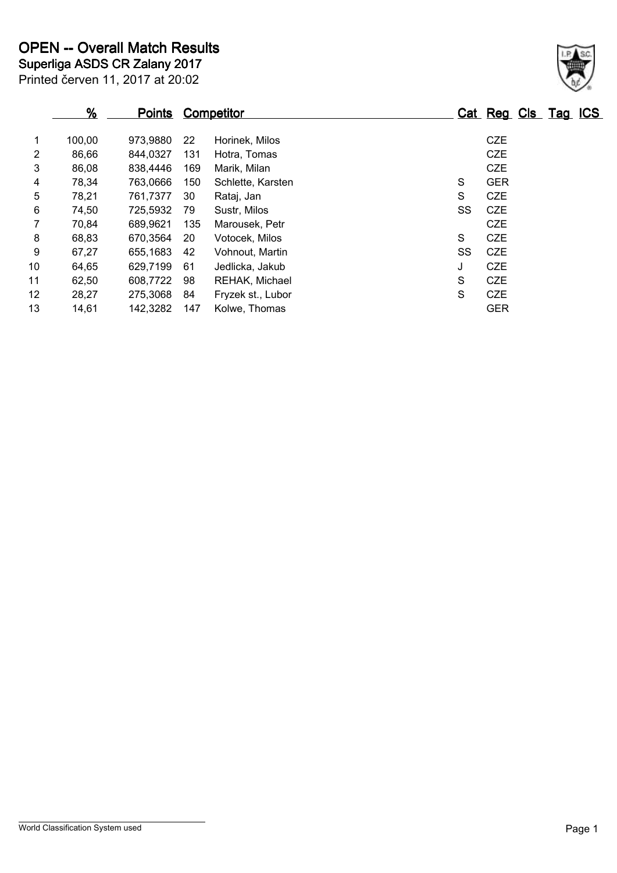| $\frac{9}{6}$ | <b>Points</b> |     |                   |            |    |            |  |                     |
|---------------|---------------|-----|-------------------|------------|----|------------|--|---------------------|
| 100,00        | 973,9880      | 22  | Horinek, Milos    |            |    | <b>CZE</b> |  |                     |
| 86,66         | 844,0327      | 131 | Hotra, Tomas      |            |    | <b>CZE</b> |  |                     |
| 86,08         | 838,4446      | 169 | Marik, Milan      |            |    | <b>CZE</b> |  |                     |
| 78,34         | 763,0666      | 150 | Schlette, Karsten |            | S  | <b>GER</b> |  |                     |
| 78,21         | 761,7377      | 30  | Rataj, Jan        |            | S  | <b>CZE</b> |  |                     |
| 74,50         | 725,5932      | 79  | Sustr, Milos      |            | SS | <b>CZE</b> |  |                     |
| 70,84         | 689,9621      | 135 | Marousek, Petr    |            |    | <b>CZE</b> |  |                     |
| 68,83         | 670,3564      | 20  | Votocek, Milos    |            | S  | <b>CZE</b> |  |                     |
| 67,27         | 655,1683      | 42  | Vohnout, Martin   |            | SS | <b>CZE</b> |  |                     |
| 64,65         | 629,7199      | 61  | Jedlicka, Jakub   |            | J  | <b>CZE</b> |  |                     |
| 62,50         | 608,7722      | 98  | REHAK, Michael    |            | S  | <b>CZE</b> |  |                     |
| 28,27         | 275,3068      | 84  | Fryzek st., Lubor |            | S  | <b>CZE</b> |  |                     |
| 14,61         | 142,3282      | 147 | Kolwe, Thomas     |            |    | <b>GER</b> |  |                     |
|               |               |     |                   | Competitor |    |            |  | Cat Reg Cls Tag ICS |

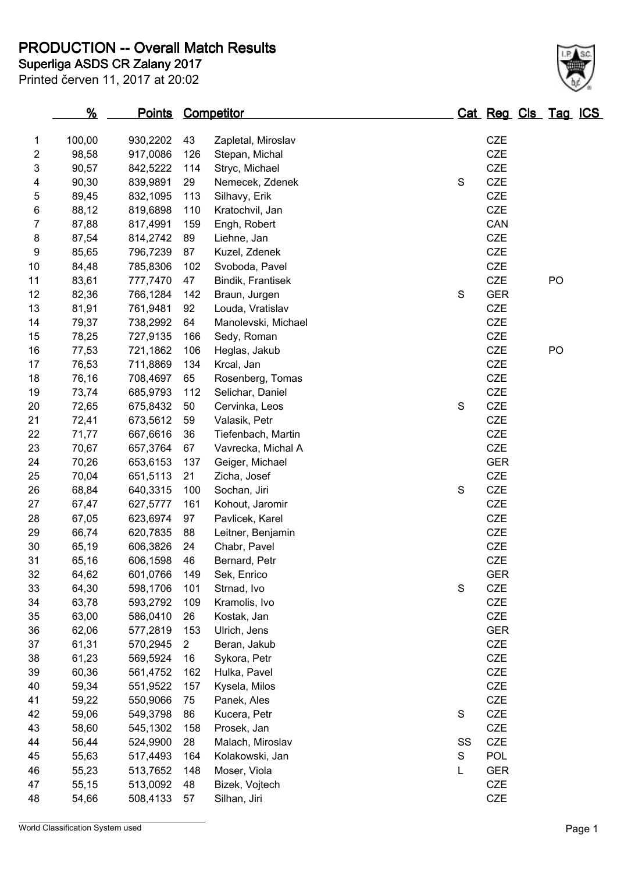**PRODUCTION -- Overall Match Results**

|  |  |  |  | Printed červen 11, 2017 at 20:02 |
|--|--|--|--|----------------------------------|

## **Superliga ASDS CR Zalany 2017**

|    | $\frac{9}{6}$ | <b>Points Competitor</b> |                |                     |               | Cat Reg Cls Tag ICS |    |  |
|----|---------------|--------------------------|----------------|---------------------|---------------|---------------------|----|--|
| 1  | 100,00        | 930,2202                 | 43             | Zapletal, Miroslav  |               | <b>CZE</b>          |    |  |
| 2  | 98,58         | 917,0086                 | 126            | Stepan, Michal      |               | <b>CZE</b>          |    |  |
| 3  | 90,57         | 842,5222                 | 114            | Stryc, Michael      |               | <b>CZE</b>          |    |  |
| 4  | 90,30         | 839,9891                 | 29             | Nemecek, Zdenek     | $\mathbf S$   | <b>CZE</b>          |    |  |
| 5  | 89,45         | 832,1095                 | 113            | Silhavy, Erik       |               | <b>CZE</b>          |    |  |
| 6  | 88,12         | 819,6898                 | 110            | Kratochvil, Jan     |               | <b>CZE</b>          |    |  |
| 7  | 87,88         | 817,4991                 | 159            | Engh, Robert        |               | CAN                 |    |  |
| 8  | 87,54         | 814,2742                 | 89             | Liehne, Jan         |               | <b>CZE</b>          |    |  |
| 9  | 85,65         | 796,7239                 | 87             | Kuzel, Zdenek       |               | <b>CZE</b>          |    |  |
| 10 | 84,48         | 785,8306                 | 102            | Svoboda, Pavel      |               | <b>CZE</b>          |    |  |
| 11 | 83,61         | 777,7470                 | 47             | Bindik, Frantisek   |               | <b>CZE</b>          | PO |  |
| 12 | 82,36         | 766,1284                 | 142            | Braun, Jurgen       | $\mathbf S$   | <b>GER</b>          |    |  |
| 13 | 81,91         | 761,9481                 | 92             | Louda, Vratislav    |               | CZE                 |    |  |
| 14 | 79,37         | 738,2992                 | 64             | Manolevski, Michael |               | <b>CZE</b>          |    |  |
| 15 | 78,25         | 727,9135                 | 166            | Sedy, Roman         |               | <b>CZE</b>          |    |  |
| 16 | 77,53         | 721,1862                 | 106            | Heglas, Jakub       |               | <b>CZE</b>          | PO |  |
| 17 | 76,53         | 711,8869                 | 134            | Krcal, Jan          |               | <b>CZE</b>          |    |  |
| 18 | 76,16         | 708,4697                 | 65             | Rosenberg, Tomas    |               | <b>CZE</b>          |    |  |
| 19 | 73,74         | 685,9793                 | 112            | Selichar, Daniel    |               | <b>CZE</b>          |    |  |
| 20 | 72,65         | 675,8432                 | 50             | Cervinka, Leos      | $\mathbf S$   | <b>CZE</b>          |    |  |
| 21 | 72,41         | 673,5612                 | 59             | Valasik, Petr       |               | CZE                 |    |  |
| 22 | 71,77         | 667,6616                 | 36             | Tiefenbach, Martin  |               | <b>CZE</b>          |    |  |
| 23 | 70,67         | 657,3764                 | 67             | Vavrecka, Michal A  |               | <b>CZE</b>          |    |  |
| 24 | 70,26         | 653,6153                 | 137            | Geiger, Michael     |               | <b>GER</b>          |    |  |
| 25 | 70,04         | 651,5113                 | 21             | Zicha, Josef        |               | CZE                 |    |  |
| 26 | 68,84         | 640,3315                 | 100            | Sochan, Jiri        | $\mathbf S$   | <b>CZE</b>          |    |  |
| 27 | 67,47         | 627,5777                 | 161            | Kohout, Jaromir     |               | <b>CZE</b>          |    |  |
| 28 | 67,05         | 623,6974                 | 97             | Pavlicek, Karel     |               | <b>CZE</b>          |    |  |
| 29 | 66,74         | 620,7835                 | 88             | Leitner, Benjamin   |               | CZE                 |    |  |
| 30 | 65,19         | 606,3826                 | 24             | Chabr, Pavel        |               | <b>CZE</b>          |    |  |
| 31 | 65,16         | 606,1598                 | 46             | Bernard, Petr       |               | <b>CZE</b>          |    |  |
| 32 | 64,62         | 601,0766                 | 149            | Sek, Enrico         |               | <b>GER</b>          |    |  |
| 33 | 64,30         | 598,1706                 | 101            | Strnad, Ivo         | ${\mathsf S}$ | CZE                 |    |  |
| 34 | 63,78         | 593,2792                 | 109            | Kramolis, Ivo       |               | CZE                 |    |  |
| 35 | 63,00         | 586,0410                 | 26             | Kostak, Jan         |               | CZE                 |    |  |
| 36 | 62,06         | 577,2819                 | 153            | Ulrich, Jens        |               | <b>GER</b>          |    |  |
| 37 | 61,31         | 570,2945                 | $\overline{2}$ | Beran, Jakub        |               | CZE                 |    |  |
| 38 | 61,23         | 569,5924                 | 16             | Sykora, Petr        |               | CZE                 |    |  |
| 39 | 60,36         | 561,4752                 | 162            | Hulka, Pavel        |               | CZE                 |    |  |
| 40 | 59,34         | 551,9522                 | 157            | Kysela, Milos       |               | CZE                 |    |  |
| 41 | 59,22         | 550,9066                 | 75             | Panek, Ales         |               | CZE                 |    |  |
| 42 | 59,06         | 549,3798                 | 86             | Kucera, Petr        | $\mathbf S$   | <b>CZE</b>          |    |  |
| 43 | 58,60         | 545,1302                 | 158            | Prosek, Jan         |               | CZE                 |    |  |
| 44 | 56,44         | 524,9900                 | 28             | Malach, Miroslav    | SS            | CZE                 |    |  |
| 45 | 55,63         | 517,4493                 | 164            | Kolakowski, Jan     | ${\mathsf S}$ | <b>POL</b>          |    |  |
| 46 | 55,23         | 513,7652                 | 148            | Moser, Viola        | L             | <b>GER</b>          |    |  |
| 47 | 55,15         | 513,0092                 | 48             | Bizek, Vojtech      |               | CZE                 |    |  |
| 48 | 54,66         | 508,4133                 | 57             | Silhan, Jiri        |               | CZE                 |    |  |

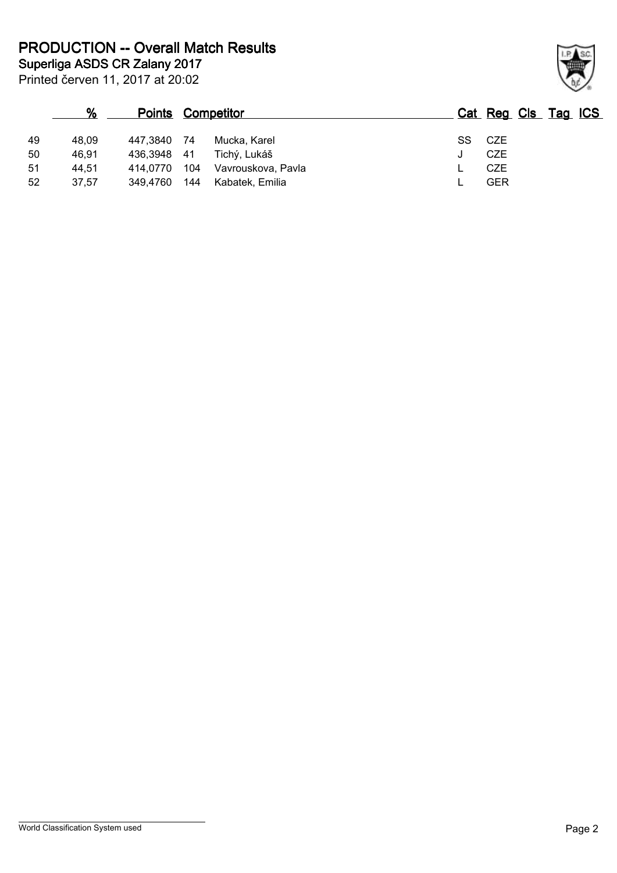Printed červen 11, 2017 at 20:02 **Superliga ASDS CR Zalany 2017 PRODUCTION -- Overall Match Results**

|    | %     | <b>Points Competitor</b> |     |                    |    | Cat Reg Cls Tag ICS |  |  |
|----|-------|--------------------------|-----|--------------------|----|---------------------|--|--|
| 49 | 48.09 | 447,3840                 | 74  | Mucka, Karel       | SS | CZE                 |  |  |
| 50 | 46,91 | 436,3948                 | -41 | Tichý, Lukáš       |    | <b>CZE</b>          |  |  |
| 51 | 44.51 | 414.0770                 | 104 | Vavrouskova, Pavla |    | <b>CZE</b>          |  |  |
| 52 | 37.57 | 349.4760                 | 144 | Kabatek, Emilia    |    | <b>GER</b>          |  |  |

World Classification System used **Page 2** 

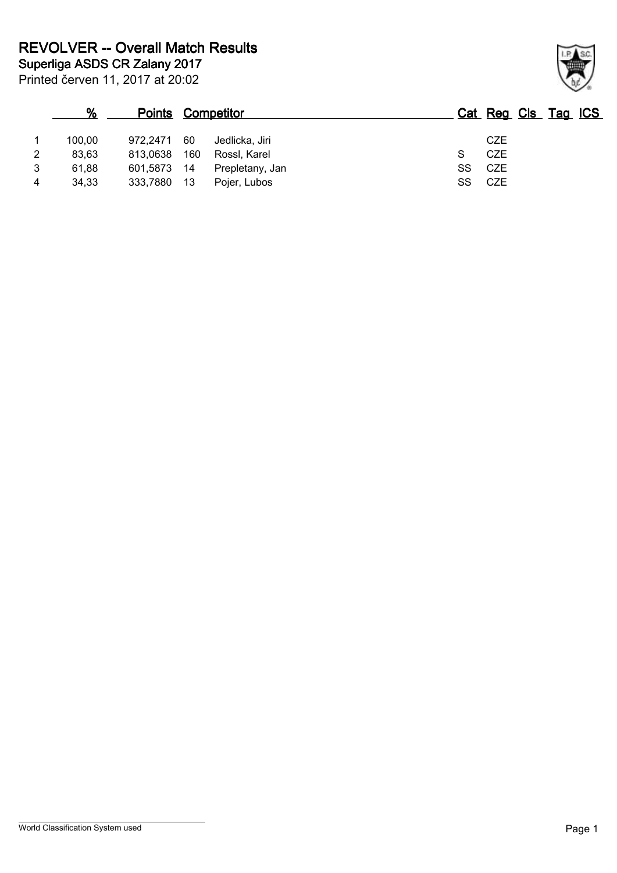|   | %      |             |     | <b>Points Competitor</b> |  |    | Cat Reg Cls Tag ICS |  |  |
|---|--------|-------------|-----|--------------------------|--|----|---------------------|--|--|
|   | 100,00 | 972.2471    | 60  | Jedlicka. Jiri           |  |    | <b>CZE</b>          |  |  |
| 2 | 83,63  | 813,0638    | 160 | Rossl, Karel             |  |    | <b>CZE</b>          |  |  |
|   | 61.88  | 601,5873 14 |     | Prepletany, Jan          |  | SS | CZE                 |  |  |
| 4 | 34,33  | 333,7880    | 13  | Pojer, Lubos             |  | SS | <b>CZE</b>          |  |  |

Printed červen 11, 2017 at 20:02

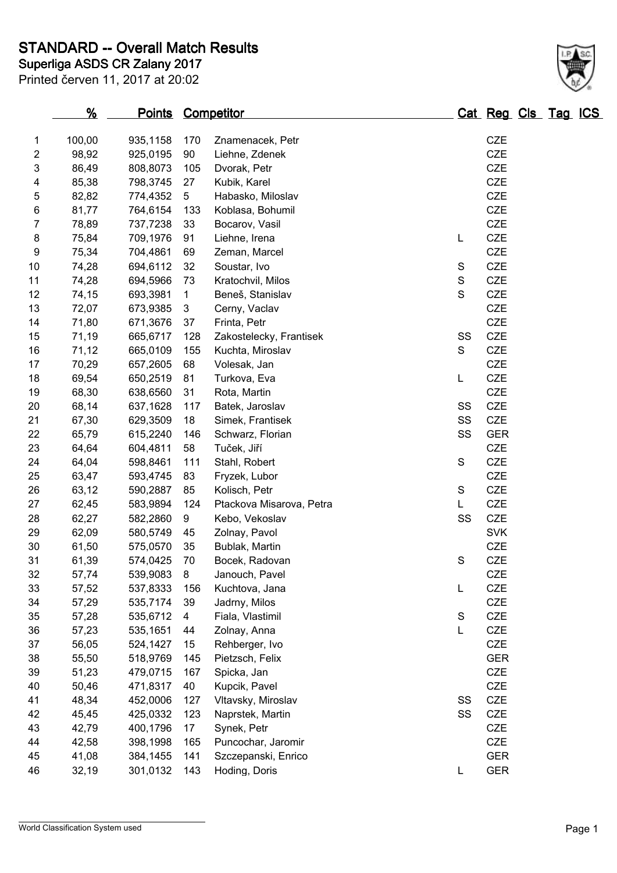**Superliga ASDS CR Zalany 2017 STANDARD -- Overall Match Results**

Printed červen 11, 2017 at 20:02

| 18 | 69,54 | 650,2519 | 81  | Turkova, Eva             | L           | <b>CZE</b> |
|----|-------|----------|-----|--------------------------|-------------|------------|
| 19 | 68,30 | 638,6560 | 31  | Rota, Martin             |             | <b>CZE</b> |
| 20 | 68,14 | 637,1628 | 117 | Batek, Jaroslav          | SS          | CZE        |
| 21 | 67,30 | 629,3509 | 18  | Simek, Frantisek         | SS          | <b>CZE</b> |
| 22 | 65,79 | 615,2240 | 146 | Schwarz, Florian         | SS          | <b>GER</b> |
| 23 | 64,64 | 604,4811 | 58  | Tuček, Jiří              |             | <b>CZE</b> |
| 24 | 64,04 | 598,8461 | 111 | Stahl, Robert            | S           | CZE        |
| 25 | 63,47 | 593,4745 | 83  | Fryzek, Lubor            |             | <b>CZE</b> |
| 26 | 63,12 | 590,2887 | 85  | Kolisch, Petr            | S           | CZE        |
| 27 | 62,45 | 583,9894 | 124 | Ptackova Misarova, Petra | L           | CZE        |
| 28 | 62,27 | 582,2860 | 9   | Kebo, Vekoslav           | SS          | <b>CZE</b> |
| 29 | 62,09 | 580,5749 | 45  | Zolnay, Pavol            |             | <b>SVK</b> |
| 30 | 61,50 | 575,0570 | 35  | Bublak, Martin           |             | <b>CZE</b> |
| 31 | 61,39 | 574,0425 | 70  | Bocek, Radovan           | $\mathbf S$ | <b>CZE</b> |
| 32 | 57,74 | 539,9083 | 8   | Janouch, Pavel           |             | CZE        |
| 33 | 57,52 | 537,8333 | 156 | Kuchtova, Jana           | L           | <b>CZE</b> |
| 34 | 57,29 | 535,7174 | 39  | Jadrny, Milos            |             | <b>CZE</b> |
| 35 | 57,28 | 535,6712 | 4   | Fiala, Vlastimil         | $\mathbb S$ | <b>CZE</b> |
| 36 | 57,23 | 535,1651 | 44  | Zolnay, Anna             | L           | <b>CZE</b> |
| 37 | 56,05 | 524,1427 | 15  | Rehberger, Ivo           |             | CZE        |
| 38 | 55,50 | 518,9769 | 145 | Pietzsch, Felix          |             | <b>GER</b> |
| 39 | 51,23 | 479,0715 | 167 | Spicka, Jan              |             | <b>CZE</b> |
| 40 | 50,46 | 471,8317 | 40  | Kupcik, Pavel            |             | <b>CZE</b> |
| 41 | 48,34 | 452,0006 | 127 | Vltavsky, Miroslav       | SS          | CZE        |
| 42 | 45,45 | 425,0332 | 123 | Naprstek, Martin         | SS          | <b>CZE</b> |
| 43 | 42,79 | 400,1796 | 17  | Synek, Petr              |             | <b>CZE</b> |
| 44 | 42,58 | 398,1998 | 165 | Puncochar, Jaromir       |             | <b>CZE</b> |
| 45 | 41,08 | 384,1455 | 141 | Szczepanski, Enrico      |             | <b>GER</b> |
|    |       |          |     |                          |             |            |

32,19 301,0132 143 Hoding, Doris L GER

**% Points Competitor Cat Reg Cls Tag ICS**

 100,00 935,1158 170 Znamenacek, Petr CZE 98,92 925,0195 90 Liehne, Zdenek CZE 86,49 808,8073 105 Dvorak, Petr CZE 85,38 798,3745 27 Kubik, Karel CZE 82,82 774,4352 5 Habasko, Miloslav CZE 81,77 764,6154 133 Koblasa, Bohumil CZE 78,89 737,7238 33 Bocarov, Vasil CZE 75,84 709,1976 91 Liehne, Irena L CZE 75,34 704,4861 69 Zeman, Marcel CZE 10 74,28 694,6112 32 Soustar, Ivo S CZE 74,28 694,5966 73 Kratochvil, Milos S CZE 74,15 693,3981 1 Beneš, Stanislav S CZE 72,07 673,9385 3 Cerny, Vaclav CZE 71,80 671,3676 37 Frinta, Petr CZE 71,19 665,6717 128 Zakostelecky, Frantisek SS CZE 16 71,12 665,0109 155 Kuchta, Miroslav S CZE 70,29 657,2605 68 Volesak, Jan CZE